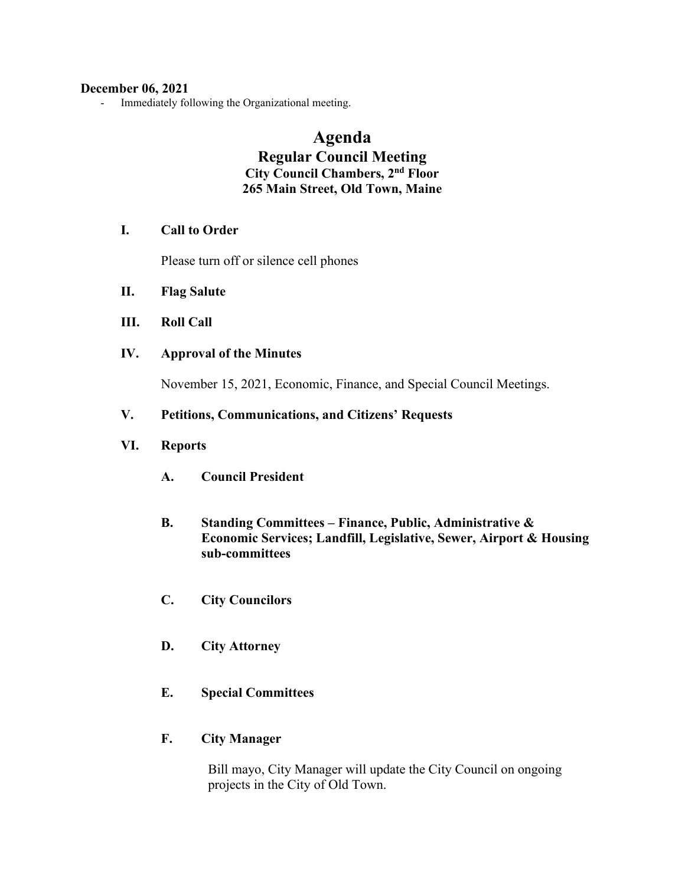#### **December 06, 2021**

- Immediately following the Organizational meeting.

# **Agenda Regular Council Meeting City Council Chambers, 2nd Floor 265 Main Street, Old Town, Maine**

# **I. Call to Order**

Please turn off or silence cell phones

- **II. Flag Salute**
- **III. Roll Call**
- **IV. Approval of the Minutes**

November 15, 2021, Economic, Finance, and Special Council Meetings.

## **V. Petitions, Communications, and Citizens' Requests**

## **VI. Reports**

- **A. Council President**
- **B. Standing Committees – Finance, Public, Administrative & Economic Services; Landfill, Legislative, Sewer, Airport & Housing sub-committees**
- **C. City Councilors**
- **D. City Attorney**
- **E. Special Committees**

#### **F. City Manager**

Bill mayo, City Manager will update the City Council on ongoing projects in the City of Old Town.